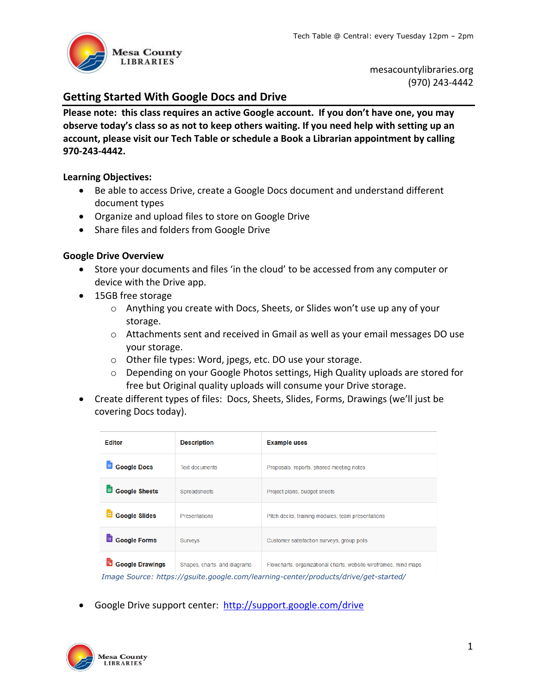

mesacountylibraries.org (970) 243‐4442

# **Getting Started With Google Docs and Drive**

**Please note: this class requires an active Google account. If you don't have one, you may observe today's class so as not to keep others waiting. If you need help with setting up an account, please visit our Tech Table or schedule a Book a Librarian appointment by calling 970‐243‐4442.** 

# **Learning Objectives:**

- Be able to access Drive, create a Google Docs document and understand different document types
- Organize and upload files to store on Google Drive
- Share files and folders from Google Drive

# **Google Drive Overview**

- Store your documents and files 'in the cloud' to be accessed from any computer or device with the Drive app.
- 15GB free storage
	- o Anything you create with Docs, Sheets, or Slides won't use up any of your storage.
	- o Attachments sent and received in Gmail as well as your email messages DO use your storage.
	- o Other file types: Word, jpegs, etc. DO use your storage.
	- $\circ$  Depending on your Google Photos settings, High Quality uploads are stored for free but Original quality uploads will consume your Drive storage.
- Create different types of files: Docs, Sheets, Slides, Forms, Drawings (we'll just be covering Docs today).

| <b>Editor</b>                                                                       | <b>Description</b>           | <b>Example uses</b>                                              |  |  |
|-------------------------------------------------------------------------------------|------------------------------|------------------------------------------------------------------|--|--|
| E<br><b>Google Docs</b>                                                             | <b>Text documents</b>        | Proposals, reports, shared meeting notes                         |  |  |
| <b>Google Sheets</b><br>国                                                           | Spreadsheets                 | Project plans, budget sheets                                     |  |  |
| <b>Google Slides</b>                                                                | <b>Presentations</b>         | Pitch decks, training modules, team presentations                |  |  |
| <b>Google Forms</b><br>$\equiv$                                                     | <b>Surveys</b>               | Customer satisfaction surveys, group polls                       |  |  |
| <b>Google Drawings</b>                                                              | Shapes, charts, and diagrams | Flowcharts, organizational charts, website wireframes, mind maps |  |  |
| Image Source: https://gsuite.google.com/learning-center/products/drive/get-started/ |                              |                                                                  |  |  |

Google Drive support center: http://support.google.com/drive

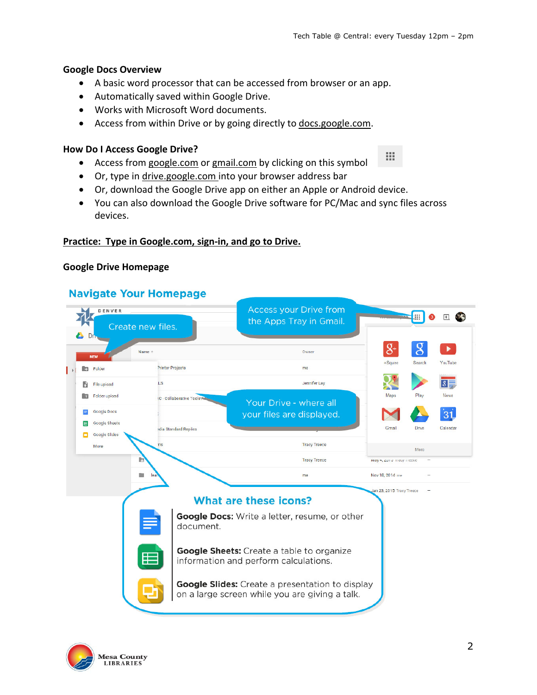m

# **Google Docs Overview**

- A basic word processor that can be accessed from browser or an app.
- Automatically saved within Google Drive.
- Works with Microsoft Word documents.
- Access from within Drive or by going directly to docs.google.com.

### **How Do I Access Google Drive?**

- Access from google.com or gmail.com by clicking on this symbol
- Or, type in drive.google.com into your browser address bar
- Or, download the Google Drive app on either an Apple or Android device.
- You can also download the Google Drive software for PC/Mac and sync files across devices.

# **Practice: Type in Google.com, sign‐in, and go to Drive.**

#### **Google Drive Homepage**

# **Navigate Your Homepage**



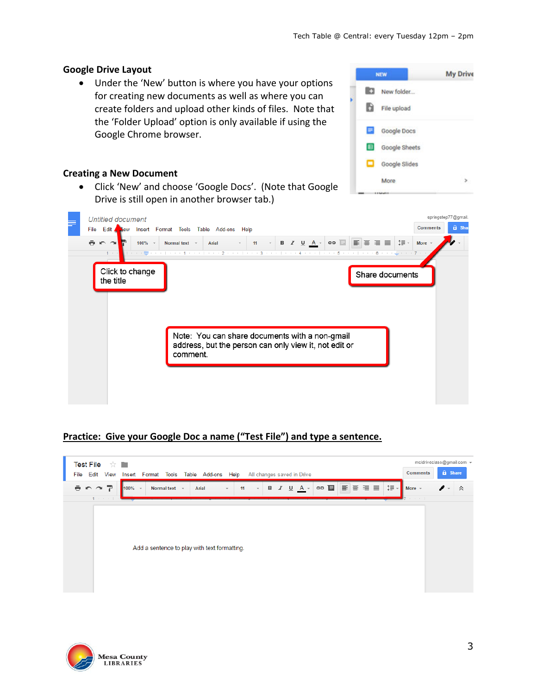**NEW** 

lin

h

Е

田 ▭

### **Google Drive Layout**

 Under the 'New' button is where you have your options for creating new documents as well as where you can create folders and upload other kinds of files. Note that the 'Folder Upload' option is only available if using the Google Chrome browser.

# **Creating a New Document**

 Click 'New' and choose 'Google Docs'. (Note that Google Drive is still open in another browser tab.)



# **Practice: Give your Google Doc a name ("Test File") and type a sentence.**







**My Drive**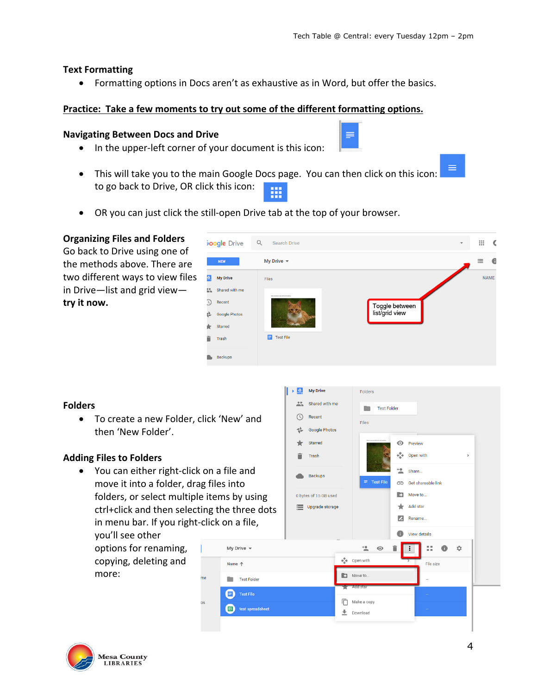### **Text Formatting**

Formatting options in Docs aren't as exhaustive as in Word, but offer the basics.

#### **Practice: Take a few moments to try out some of the different formatting options.**

#### **Navigating Between Docs and Drive**

- In the upper-left corner of your document is this icon:
- This will take you to the main Google Docs page. You can then click on this icon: to go back to Drive, OR click this icon:
- OR you can just click the still-open Drive tab at the top of your browser.

# **Organizing Files and Folders**

Go back to Drive using one of the methods above. There are two different ways to view files in Drive—list and grid view **try it now.**

|                 | <b>boogle</b> Drive | $\alpha$<br>Search Drive                | $\overline{\phantom{a}}$         | 排 | €           |
|-----------------|---------------------|-----------------------------------------|----------------------------------|---|-------------|
|                 | <b>NEW</b>          | My Drive $\sim$                         |                                  | 三 | G           |
| $\triangle$     | <b>My Drive</b>     | Files                                   |                                  |   | <b>NAME</b> |
| $\frac{10}{10}$ | Shared with me      |                                         |                                  |   |             |
| $\circledcirc$  | Recent              | Address them in this just but for which |                                  |   |             |
| 品               | Google Photos       |                                         | Toggle between<br>list/grid view |   |             |
| k               | Starred             |                                         |                                  |   |             |
| Ê               | Trash               | <b>Test File</b><br>Е                   |                                  |   |             |
|                 | Backups             |                                         |                                  |   |             |

≡

#### **Folders**

 To create a new Folder, click 'New' and then 'New Folder'.

#### **Adding Files to Folders**

● You can either right-click on a file and move it into a folder, drag files into folders, or select multiple items by using ctrl+click and then selecting the three dots in menu bar. If you right‐click on a file,

Name  $\uparrow$ 

you'll see other options for renaming, copying, deleting and more:



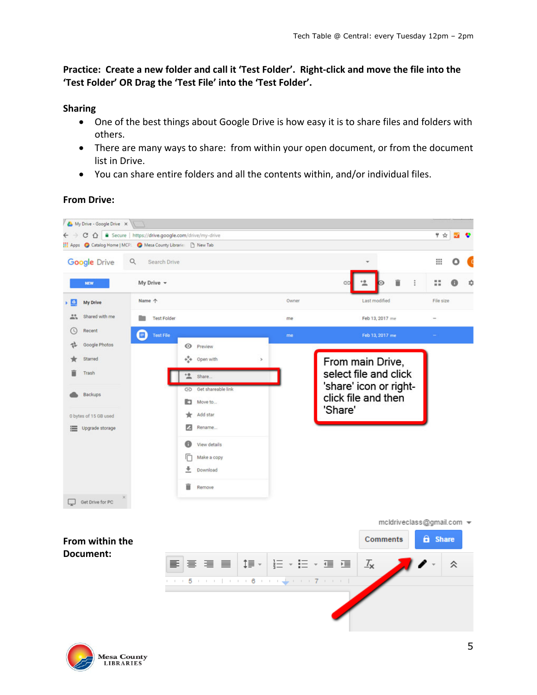Practice: Create a new folder and call it 'Test Folder'. Right-click and move the file into the **'Test Folder' OR Drag the 'Test File' into the 'Test Folder'.**

# **Sharing**

- One of the best things about Google Drive is how easy it is to share files and folders with others.
- There are many ways to share: from within your open document, or from the document list in Drive.
- You can share entire folders and all the contents within, and/or individual files.

**From Drive:** 

**Mesa County LIBRARIES** 

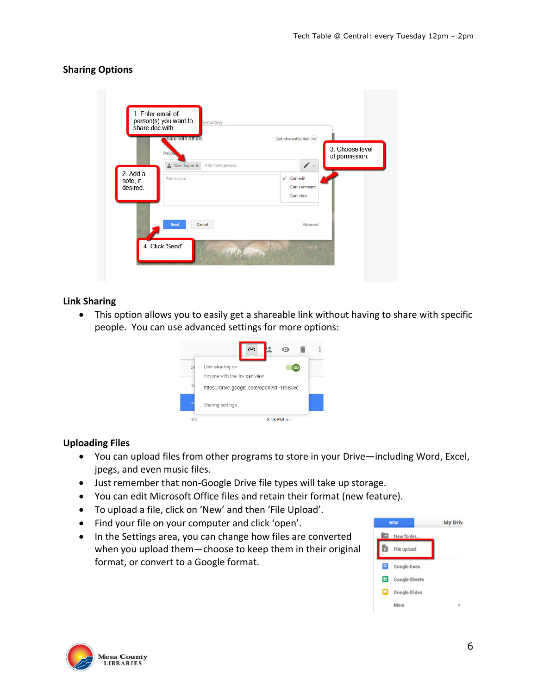# **Sharing Options**

|                                    | share doc with.<br><b>Share with others</b><br>People | Get shareable link (GD)<br>of permission.             | 3. Choose level |
|------------------------------------|-------------------------------------------------------|-------------------------------------------------------|-----------------|
| $2.$ Add a<br>note, if<br>desired. | Add more people<br>Carl Taylor x<br>Add a note        | v<br>$\checkmark$ Can edit<br>Can comment<br>Can view |                 |
|                                    | Send<br>Cancel                                        | Advanced                                              |                 |

#### **Link Sharing**

 This option allows you to easily get a shareable link without having to share with specific people. You can use advanced settings for more options:



#### **Uploading Files**

- You can upload files from other programs to store in your Drive—including Word, Excel, jpegs, and even music files.
- Just remember that non-Google Drive file types will take up storage.
- You can edit Microsoft Office files and retain their format (new feature).
- To upload a file, click on 'New' and then 'File Upload'.
- Find your file on your computer and click 'open'.
- In the Settings area, you can change how files are converted when you upload them—choose to keep them in their original format, or convert to a Google format.